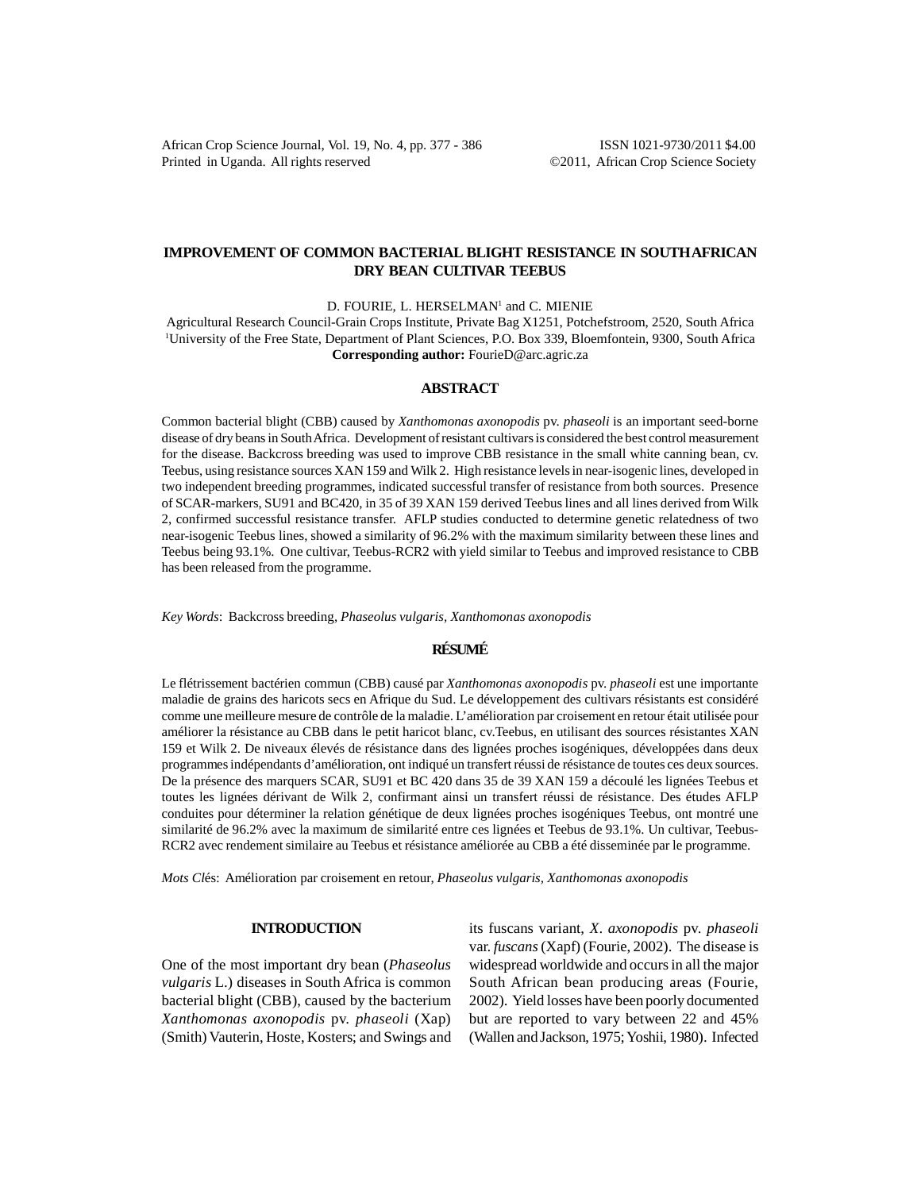African Crop Science Journal, Vol. 19, No. 4, pp. 377 - 386 ISSN 1021-9730/2011 \$4.00 Printed in Uganda. All rights reserved ©2011, African Crop Science Society

## **IMPROVEMENT OF COMMON BACTERIAL BLIGHT RESISTANCE IN SOUTH AFRICAN DRY BEAN CULTIVAR TEEBUS**

D. FOURIE, L. HERSELMAN<sup>1</sup> and C. MIENIE

Agricultural Research Council-Grain Crops Institute, Private Bag X1251, Potchefstroom, 2520, South Africa 1 University of the Free State, Department of Plant Sciences, P.O. Box 339, Bloemfontein, 9300, South Africa **Corresponding author:** FourieD@arc.agric.za

### **ABSTRACT**

Common bacterial blight (CBB) caused by *Xanthomonas axonopodis* pv. *phaseoli* is an important seed-borne disease of dry beans in South Africa. Development of resistant cultivars is considered the best control measurement for the disease. Backcross breeding was used to improve CBB resistance in the small white canning bean, cv. Teebus, using resistance sources XAN 159 and Wilk 2. High resistance levels in near-isogenic lines, developed in two independent breeding programmes, indicated successful transfer of resistance from both sources. Presence of SCAR-markers, SU91 and BC420, in 35 of 39 XAN 159 derived Teebus lines and all lines derived from Wilk 2, confirmed successful resistance transfer. AFLP studies conducted to determine genetic relatedness of two near-isogenic Teebus lines, showed a similarity of 96.2% with the maximum similarity between these lines and Teebus being 93.1%. One cultivar, Teebus-RCR2 with yield similar to Teebus and improved resistance to CBB has been released from the programme.

*Key Words*: Backcross breeding, *Phaseolus vulgaris, Xanthomonas axonopodis*

# **RÉSUMÉ**

Le flétrissement bactérien commun (CBB) causé par *Xanthomonas axonopodis* pv. *phaseoli* est une importante maladie de grains des haricots secs en Afrique du Sud. Le développement des cultivars résistants est considéré comme une meilleure mesure de contrôle de la maladie. L'amélioration par croisement en retour était utilisée pour améliorer la résistance au CBB dans le petit haricot blanc, cv.Teebus, en utilisant des sources résistantes XAN 159 et Wilk 2. De niveaux élevés de résistance dans des lignées proches isogéniques, développées dans deux programmes indépendants d'amélioration, ont indiqué un transfert réussi de résistance de toutes ces deux sources. De la présence des marquers SCAR, SU91 et BC 420 dans 35 de 39 XAN 159 a découlé les lignées Teebus et toutes les lignées dérivant de Wilk 2, confirmant ainsi un transfert réussi de résistance. Des études AFLP conduites pour déterminer la relation génétique de deux lignées proches isogéniques Teebus, ont montré une similarité de 96.2% avec la maximum de similarité entre ces lignées et Teebus de 93.1%. Un cultivar, Teebus-RCR2 avec rendement similaire au Teebus et résistance améliorée au CBB a été disseminée par le programme.

*Mots Cl*és: Amélioration par croisement en retour, *Phaseolus vulgaris, Xanthomonas axonopodis*

#### **INTRODUCTION**

One of the most important dry bean (*Phaseolus vulgaris* L.) diseases in South Africa is common bacterial blight (CBB), caused by the bacterium *Xanthomonas axonopodis* pv. *phaseoli* (Xap) (Smith) Vauterin, Hoste, Kosters; and Swings and

its fuscans variant, *X*. *axonopodis* pv. *phaseoli* var. *fuscans* (Xapf) (Fourie, 2002). The disease is widespread worldwide and occurs in all the major South African bean producing areas (Fourie, 2002). Yield losses have been poorly documented but are reported to vary between 22 and 45% (Wallen and Jackson, 1975; Yoshii, 1980). Infected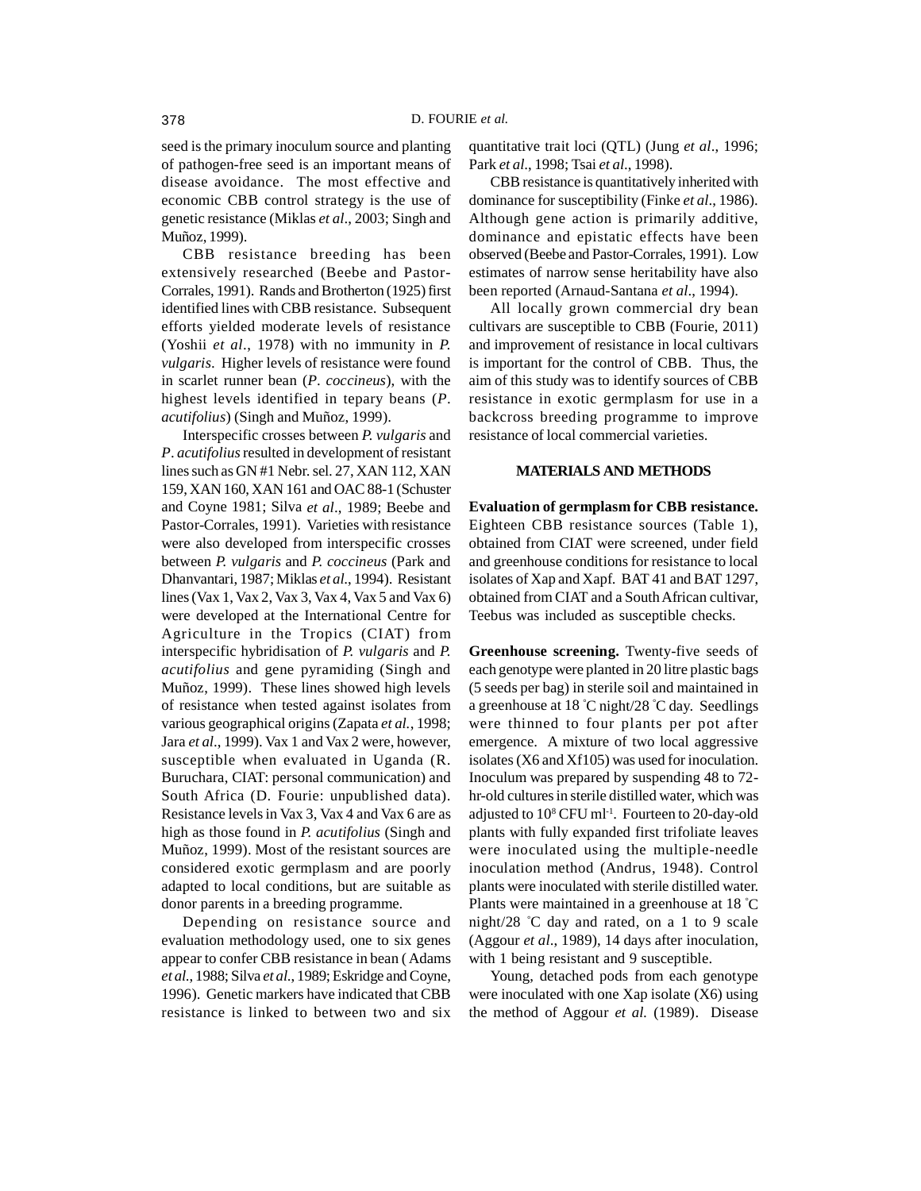seed is the primary inoculum source and planting of pathogen-free seed is an important means of disease avoidance. The most effective and economic CBB control strategy is the use of genetic resistance (Miklas *et al*., 2003; Singh and Muñoz, 1999).

CBB resistance breeding has been extensively researched (Beebe and Pastor-Corrales, 1991). Rands and Brotherton (1925) first identified lines with CBB resistance. Subsequent efforts yielded moderate levels of resistance (Yoshii *et al*., 1978) with no immunity in *P. vulgaris*. Higher levels of resistance were found in scarlet runner bean (*P*. *coccineus*), with the highest levels identified in tepary beans (*P*. *acutifolius*) (Singh and Muñoz, 1999).

Interspecific crosses between *P. vulgaris* and *P*. *acutifolius* resulted in development of resistant lines such as GN #1 Nebr. sel. 27, XAN 112, XAN 159, XAN 160, XAN 161 and OAC 88-1 (Schuster and Coyne 1981; Silva *et al*., 1989; Beebe and Pastor-Corrales, 1991). Varieties with resistance were also developed from interspecific crosses between *P. vulgaris* and *P. coccineus* (Park and Dhanvantari, 1987; Miklas *et al*., 1994). Resistant lines (Vax 1, Vax 2, Vax 3, Vax 4, Vax 5 and Vax 6) were developed at the International Centre for Agriculture in the Tropics (CIAT) from interspecific hybridisation of *P. vulgaris* and *P. acutifolius* and gene pyramiding (Singh and Muñoz, 1999). These lines showed high levels of resistance when tested against isolates from various geographical origins (Zapata *et al.*, 1998; Jara *et al*., 1999). Vax 1 and Vax 2 were, however, susceptible when evaluated in Uganda (R. Buruchara, CIAT: personal communication) and South Africa (D. Fourie: unpublished data). Resistance levels in Vax 3, Vax 4 and Vax 6 are as high as those found in *P. acutifolius* (Singh and Muñoz, 1999). Most of the resistant sources are considered exotic germplasm and are poorly adapted to local conditions, but are suitable as donor parents in a breeding programme.

Depending on resistance source and evaluation methodology used, one to six genes appear to confer CBB resistance in bean ( Adams *et al*., 1988; Silva *et al*., 1989; Eskridge and Coyne, 1996). Genetic markers have indicated that CBB resistance is linked to between two and six

quantitative trait loci (QTL) (Jung *et al*., 1996; Park *et al*., 1998; Tsai *et al*., 1998).

CBB resistance is quantitatively inherited with dominance for susceptibility (Finke *et al*., 1986). Although gene action is primarily additive, dominance and epistatic effects have been observed (Beebe and Pastor-Corrales, 1991). Low estimates of narrow sense heritability have also been reported (Arnaud-Santana *et al*., 1994).

All locally grown commercial dry bean cultivars are susceptible to CBB (Fourie, 2011) and improvement of resistance in local cultivars is important for the control of CBB. Thus, the aim of this study was to identify sources of CBB resistance in exotic germplasm for use in a backcross breeding programme to improve resistance of local commercial varieties.

#### **MATERIALS AND METHODS**

**Evaluation of germplasm for CBB resistance.** Eighteen CBB resistance sources (Table 1), obtained from CIAT were screened, under field and greenhouse conditions for resistance to local isolates of Xap and Xapf. BAT 41 and BAT 1297, obtained from CIAT and a South African cultivar, Teebus was included as susceptible checks.

**Greenhouse screening.** Twenty-five seeds of each genotype were planted in 20 litre plastic bags (5 seeds per bag) in sterile soil and maintained in a greenhouse at 18 ° C night/28 ° C day. Seedlings were thinned to four plants per pot after emergence. A mixture of two local aggressive isolates (X6 and Xf105) was used for inoculation. Inoculum was prepared by suspending 48 to 72 hr-old cultures in sterile distilled water, which was adjusted to 10<sup>8</sup> CFU ml<sup>-1</sup>. Fourteen to 20-day-old plants with fully expanded first trifoliate leaves were inoculated using the multiple-needle inoculation method (Andrus, 1948). Control plants were inoculated with sterile distilled water. Plants were maintained in a greenhouse at 18 ° C night/28 ° C day and rated, on a 1 to 9 scale (Aggour *et al*., 1989), 14 days after inoculation, with 1 being resistant and 9 susceptible.

Young, detached pods from each genotype were inoculated with one Xap isolate (X6) using the method of Aggour *et al.* (1989). Disease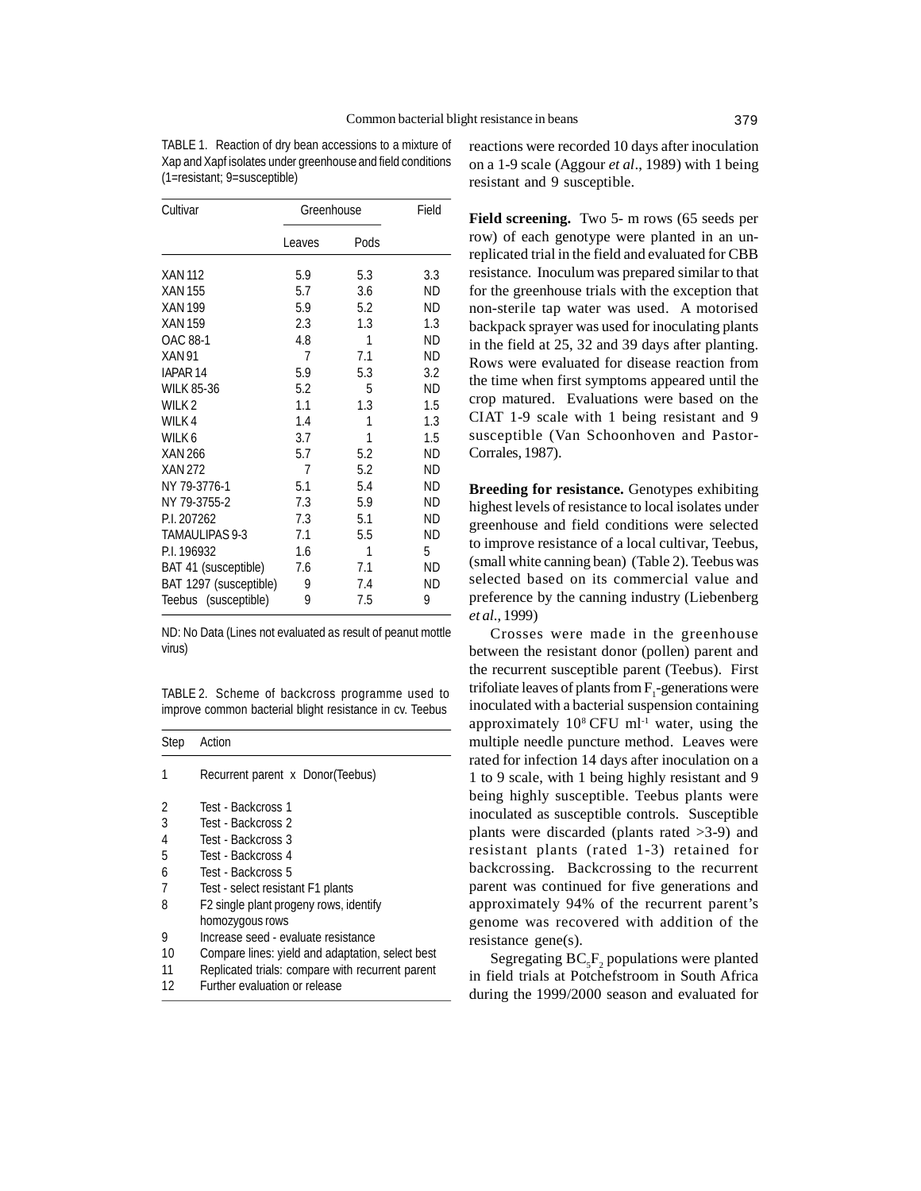TABLE 1. Reaction of dry bean accessions to a mixture of Xap and Xapf isolates under greenhouse and field conditions (1=resistant; 9=susceptible)

| Cultivar               | Greenhouse |      | Field     |
|------------------------|------------|------|-----------|
|                        | Leaves     | Pods |           |
| XAN 112                | 5.9        | 5.3  | 3.3       |
| <b>XAN 155</b>         | 5.7        | 3.6  | ND        |
| <b>XAN 199</b>         | 5.9        | 5.2  | ND        |
| <b>XAN 159</b>         | 2.3        | 1.3  | 1.3       |
| OAC 88-1               | 4.8        | 1    | ND        |
| <b>XAN 91</b>          | 7          | 7.1  | ND        |
| IAPAR <sub>14</sub>    | 5.9        | 5.3  | 3.2       |
| <b>WILK 85-36</b>      | 5.2        | 5    | ND        |
| WILK <sub>2</sub>      | 1.1        | 1.3  | 1.5       |
| WILK 4                 | 1.4        | 1    | 1.3       |
| WILK 6                 | 3.7        | 1    | 1.5       |
| <b>XAN 266</b>         | 5.7        | 5.2  | ND        |
| <b>XAN 272</b>         | 7          | 5.2  | <b>ND</b> |
| NY 79-3776-1           | 5.1        | 5.4  | ND        |
| NY 79-3755-2           | 7.3        | 5.9  | <b>ND</b> |
| P.I. 207262            | 7.3        | 5.1  | ND        |
| <b>TAMAULIPAS 9-3</b>  | 7.1        | 5.5  | ND        |
| P.I. 196932            | 1.6        | 1    | 5         |
| BAT 41 (susceptible)   | 7.6        | 7.1  | ND        |
| BAT 1297 (susceptible) | 9          | 7.4  | ND        |
| Teebus (susceptible)   | 9          | 7.5  | 9         |

ND: No Data (Lines not evaluated as result of peanut mottle virus)

TABLE 2. Scheme of backcross programme used to improve common bacterial blight resistance in cv. Teebus

| <b>Step</b> | Action                                           |
|-------------|--------------------------------------------------|
|             | Recurrent parent x Donor(Teebus)                 |
| 2           | Test - Backcross 1                               |
| 3           | Test - Backcross 2                               |
| 4           | Test - Backcross 3                               |
| 5           | Test - Backcross 4                               |
| 6           | Test - Backcross 5                               |
| 7           | Test - select resistant F1 plants                |
| 8           | F2 single plant progeny rows, identify           |
|             | homozygous rows                                  |
| 9           | Increase seed - evaluate resistance              |
| 10          | Compare lines: yield and adaptation, select best |
| 11          | Replicated trials: compare with recurrent parent |
| 12          | Further evaluation or release                    |

reactions were recorded 10 days after inoculation on a 1-9 scale (Aggour *et al*., 1989) with 1 being resistant and 9 susceptible.

**Field screening.** Two 5- m rows (65 seeds per row) of each genotype were planted in an unreplicated trial in the field and evaluated for CBB resistance. Inoculum was prepared similar to that for the greenhouse trials with the exception that non-sterile tap water was used. A motorised backpack sprayer was used for inoculating plants in the field at 25, 32 and 39 days after planting. Rows were evaluated for disease reaction from the time when first symptoms appeared until the crop matured. Evaluations were based on the CIAT 1-9 scale with 1 being resistant and 9 susceptible (Van Schoonhoven and Pastor-Corrales, 1987).

**Breeding for resistance.** Genotypes exhibiting highest levels of resistance to local isolates under greenhouse and field conditions were selected to improve resistance of a local cultivar, Teebus, (small white canning bean) (Table 2). Teebus was selected based on its commercial value and preference by the canning industry (Liebenberg *et al*., 1999)

Crosses were made in the greenhouse between the resistant donor (pollen) parent and the recurrent susceptible parent (Teebus). First trifoliate leaves of plants from  $F_1$ -generations were inoculated with a bacterial suspension containing approximately  $10^8$  CFU ml<sup>-1</sup> water, using the multiple needle puncture method. Leaves were rated for infection 14 days after inoculation on a 1 to 9 scale, with 1 being highly resistant and 9 being highly susceptible. Teebus plants were inoculated as susceptible controls. Susceptible plants were discarded (plants rated >3-9) and resistant plants (rated 1-3) retained for backcrossing. Backcrossing to the recurrent parent was continued for five generations and approximately 94% of the recurrent parent's genome was recovered with addition of the resistance gene(s).

Segregating  $BC_{5}F_{2}$  populations were planted in field trials at Potchefstroom in South Africa during the 1999/2000 season and evaluated for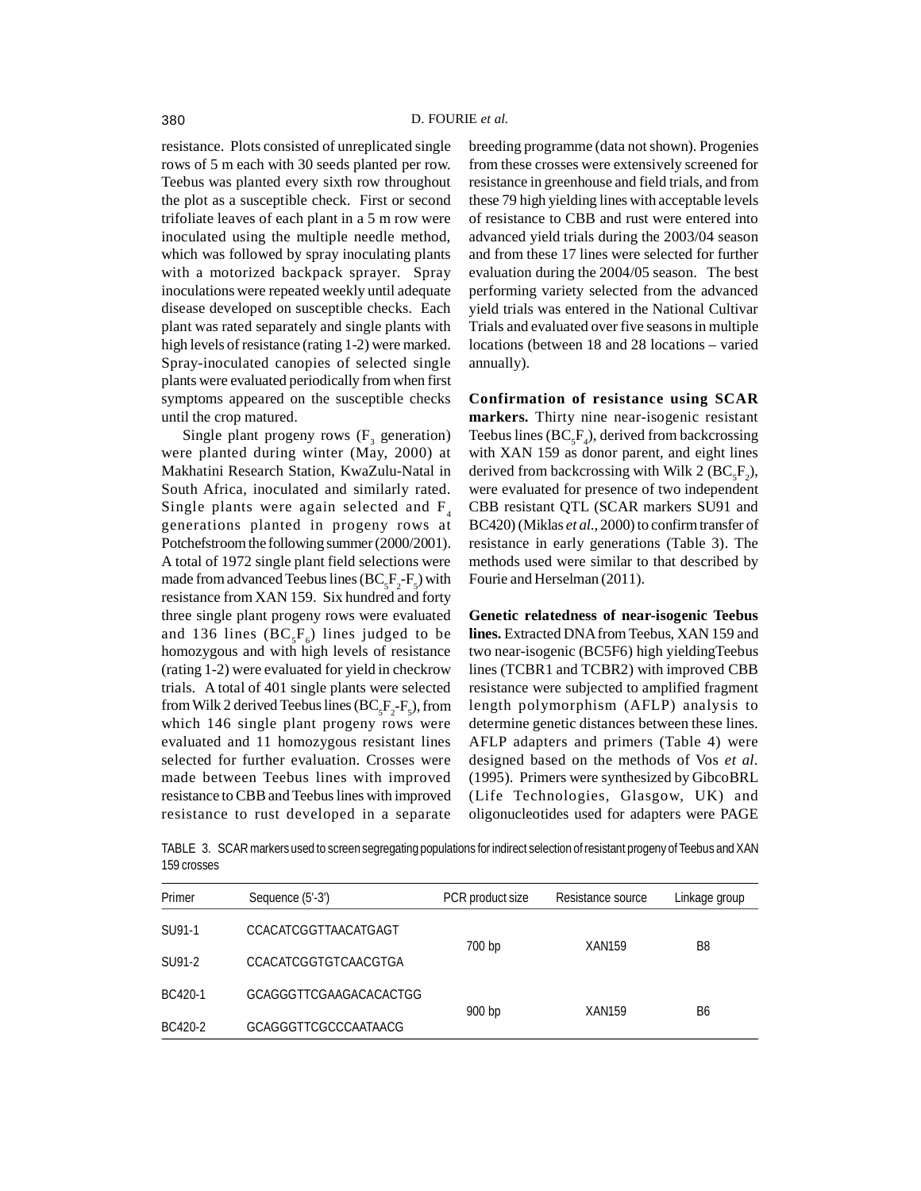resistance. Plots consisted of unreplicated single rows of 5 m each with 30 seeds planted per row. Teebus was planted every sixth row throughout the plot as a susceptible check. First or second trifoliate leaves of each plant in a 5 m row were inoculated using the multiple needle method, which was followed by spray inoculating plants with a motorized backpack sprayer. Spray inoculations were repeated weekly until adequate disease developed on susceptible checks. Each plant was rated separately and single plants with high levels of resistance (rating 1-2) were marked. Spray-inoculated canopies of selected single plants were evaluated periodically from when first symptoms appeared on the susceptible checks until the crop matured.

Single plant progeny rows  $(F_3$  generation) were planted during winter (May, 2000) at Makhatini Research Station, KwaZulu-Natal in South Africa, inoculated and similarly rated. Single plants were again selected and  $F_4$ generations planted in progeny rows at Potchefstroom the following summer (2000/2001). A total of 1972 single plant field selections were made from advanced Teebus lines  $(BC<sub>5</sub>F<sub>2</sub>-F<sub>5</sub>)$  with resistance from XAN 159. Six hundred and forty three single plant progeny rows were evaluated and 136 lines  $(BC_sF_s)$  lines judged to be homozygous and with high levels of resistance (rating 1-2) were evaluated for yield in checkrow trials. A total of 401 single plants were selected from Wilk 2 derived Teebus lines  $(BC_sF_2-F_s)$ , from which 146 single plant progeny rows were evaluated and 11 homozygous resistant lines selected for further evaluation. Crosses were made between Teebus lines with improved resistance to CBB and Teebus lines with improved resistance to rust developed in a separate breeding programme (data not shown). Progenies from these crosses were extensively screened for resistance in greenhouse and field trials, and from these 79 high yielding lines with acceptable levels of resistance to CBB and rust were entered into advanced yield trials during the 2003/04 season and from these 17 lines were selected for further evaluation during the 2004/05 season. The best performing variety selected from the advanced yield trials was entered in the National Cultivar Trials and evaluated over five seasons in multiple locations (between 18 and 28 locations – varied annually).

**Confirmation of resistance using SCAR markers.** Thirty nine near-isogenic resistant Teebus lines  $(BC<sub>5</sub>F<sub>4</sub>)$ , derived from backcrossing with XAN 159 as donor parent, and eight lines derived from backcrossing with Wilk 2 ( $BC_{5}F_{2}$ ), were evaluated for presence of two independent CBB resistant QTL (SCAR markers SU91 and BC420) (Miklas *et al*., 2000) to confirm transfer of resistance in early generations (Table 3). The methods used were similar to that described by Fourie and Herselman (2011).

**Genetic relatedness of near-isogenic Teebus lines.** Extracted DNA from Teebus, XAN 159 and two near-isogenic (BC5F6) high yieldingTeebus lines (TCBR1 and TCBR2) with improved CBB resistance were subjected to amplified fragment length polymorphism (AFLP) analysis to determine genetic distances between these lines. AFLP adapters and primers (Table 4) were designed based on the methods of Vos *et al.* (1995). Primers were synthesized by GibcoBRL (Life Technologies, Glasgow, UK) and oligonucleotides used for adapters were PAGE

TABLE 3. SCAR markers used to screen segregating populations for indirect selection of resistant progeny of Teebus and XAN 159 crosses

| Primer  | Sequence (5'-3')       | PCR product size | Resistance source | Linkage group  |
|---------|------------------------|------------------|-------------------|----------------|
| SU91-1  | CCACATCGGTTAACATGAGT   |                  |                   | B <sub>8</sub> |
| SU91-2  | CCACATCGGTGTCAACGTGA   | 700 bp           | <b>XAN159</b>     |                |
| BC420-1 | GCAGGGTTCGAAGACACACTGG | 900 bp           | <b>XAN159</b>     | B6             |
| BC420-2 | GCAGGGTTCGCCCAATAACG   |                  |                   |                |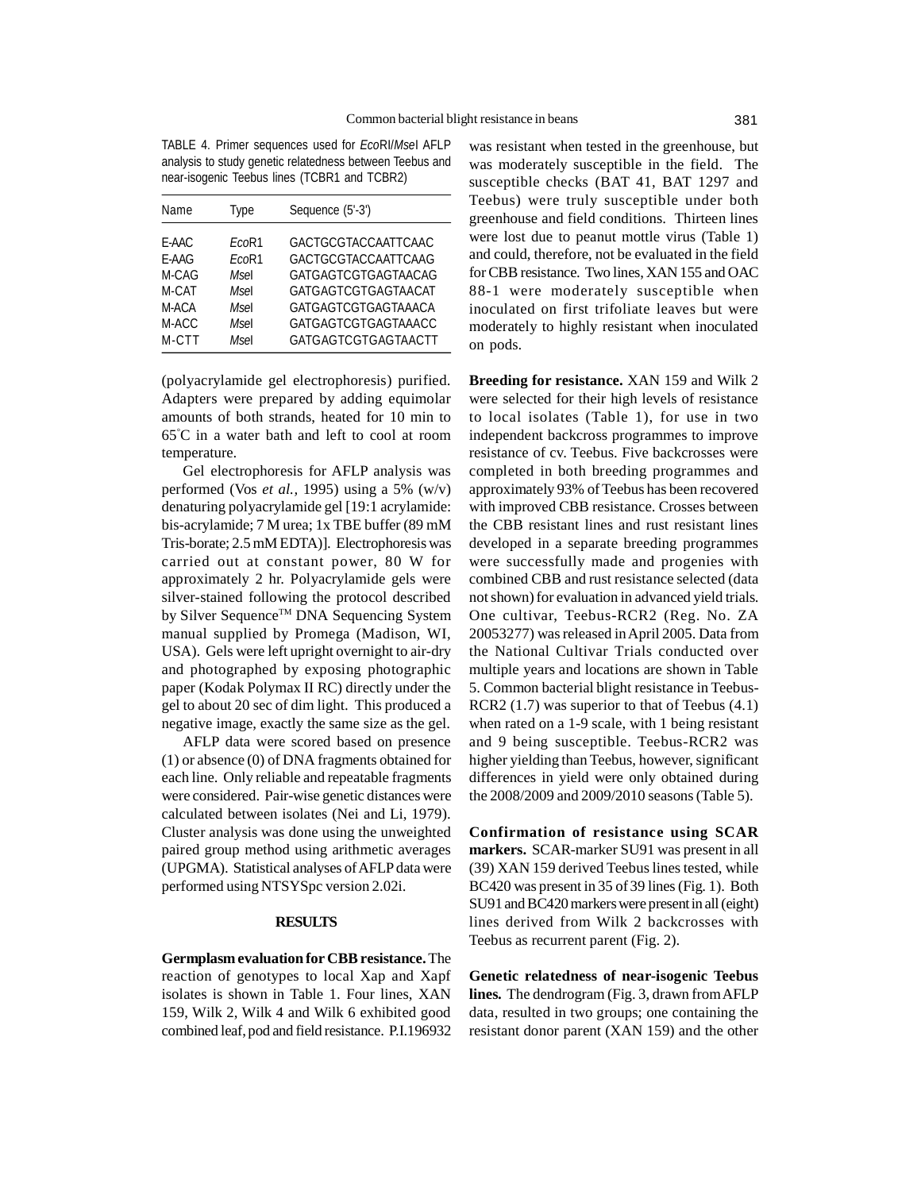TABLE 4. Primer sequences used for *Eco*RI/*Mse*I AFLP analysis to study genetic relatedness between Teebus and near-isogenic Teebus lines (TCBR1 and TCBR2)

| Name  | Type  | Sequence (5'-3')    |
|-------|-------|---------------------|
| E-AAC | EcoR1 | GACTGCGTACCAATTCAAC |
| E-AAG | EcoR1 | GACTGCGTACCAATTCAAG |
| M-CAG | Msel  | GATGAGTCGTGAGTAACAG |
| M-CAT | Msel  | GATGAGTCGTGAGTAACAT |
| M-ACA | Msel  | GATGAGTCGTGAGTAAACA |
| M-ACC | Msel  | GATGAGTCGTGAGTAAACC |
| M-CTT | Msel  | GATGAGTCGTGAGTAACTT |

(polyacrylamide gel electrophoresis) purified. Adapters were prepared by adding equimolar amounts of both strands, heated for 10 min to 65° C in a water bath and left to cool at room temperature.

Gel electrophoresis for AFLP analysis was performed (Vos *et al.,* 1995) using a 5% (w/v) denaturing polyacrylamide gel [19:1 acrylamide: bis-acrylamide; 7 M urea; 1x TBE buffer (89 mM Tris-borate; 2.5 mM EDTA)]. Electrophoresis was carried out at constant power, 80 W for approximately 2 hr. Polyacrylamide gels were silver-stained following the protocol described by Silver Sequence™ DNA Sequencing System manual supplied by Promega (Madison, WI, USA). Gels were left upright overnight to air-dry and photographed by exposing photographic paper (Kodak Polymax II RC) directly under the gel to about 20 sec of dim light. This produced a negative image, exactly the same size as the gel.

AFLP data were scored based on presence (1) or absence (0) of DNA fragments obtained for each line. Only reliable and repeatable fragments were considered. Pair-wise genetic distances were calculated between isolates (Nei and Li, 1979). Cluster analysis was done using the unweighted paired group method using arithmetic averages (UPGMA). Statistical analyses of AFLP data were performed using NTSYSpc version 2.02i.

#### **RESULTS**

**Germplasm evaluation for CBB resistance.** The reaction of genotypes to local Xap and Xapf isolates is shown in Table 1. Four lines, XAN 159, Wilk 2, Wilk 4 and Wilk 6 exhibited good combined leaf, pod and field resistance. P.I.196932

was resistant when tested in the greenhouse, but was moderately susceptible in the field. The susceptible checks (BAT 41, BAT 1297 and Teebus) were truly susceptible under both greenhouse and field conditions. Thirteen lines were lost due to peanut mottle virus (Table 1) and could, therefore, not be evaluated in the field for CBB resistance. Two lines, XAN 155 and OAC 88-1 were moderately susceptible when inoculated on first trifoliate leaves but were moderately to highly resistant when inoculated on pods.

**Breeding for resistance.** XAN 159 and Wilk 2 were selected for their high levels of resistance to local isolates (Table 1), for use in two independent backcross programmes to improve resistance of cv. Teebus. Five backcrosses were completed in both breeding programmes and approximately 93% of Teebus has been recovered with improved CBB resistance. Crosses between the CBB resistant lines and rust resistant lines developed in a separate breeding programmes were successfully made and progenies with combined CBB and rust resistance selected (data not shown) for evaluation in advanced yield trials. One cultivar, Teebus-RCR2 (Reg. No. ZA 20053277) was released in April 2005. Data from the National Cultivar Trials conducted over multiple years and locations are shown in Table 5. Common bacterial blight resistance in Teebus-RCR2 (1.7) was superior to that of Teebus (4.1) when rated on a 1-9 scale, with 1 being resistant and 9 being susceptible. Teebus-RCR2 was higher yielding than Teebus, however, significant differences in yield were only obtained during the 2008/2009 and 2009/2010 seasons (Table 5).

**Confirmation of resistance using SCAR markers.** SCAR-marker SU91 was present in all (39) XAN 159 derived Teebus lines tested, while BC420 was present in 35 of 39 lines (Fig. 1). Both SU91 and BC420 markers were present in all (eight) lines derived from Wilk 2 backcrosses with Teebus as recurrent parent (Fig. 2).

**Genetic relatedness of near-isogenic Teebus lines.** The dendrogram (Fig. 3, drawn from AFLP data, resulted in two groups; one containing the resistant donor parent (XAN 159) and the other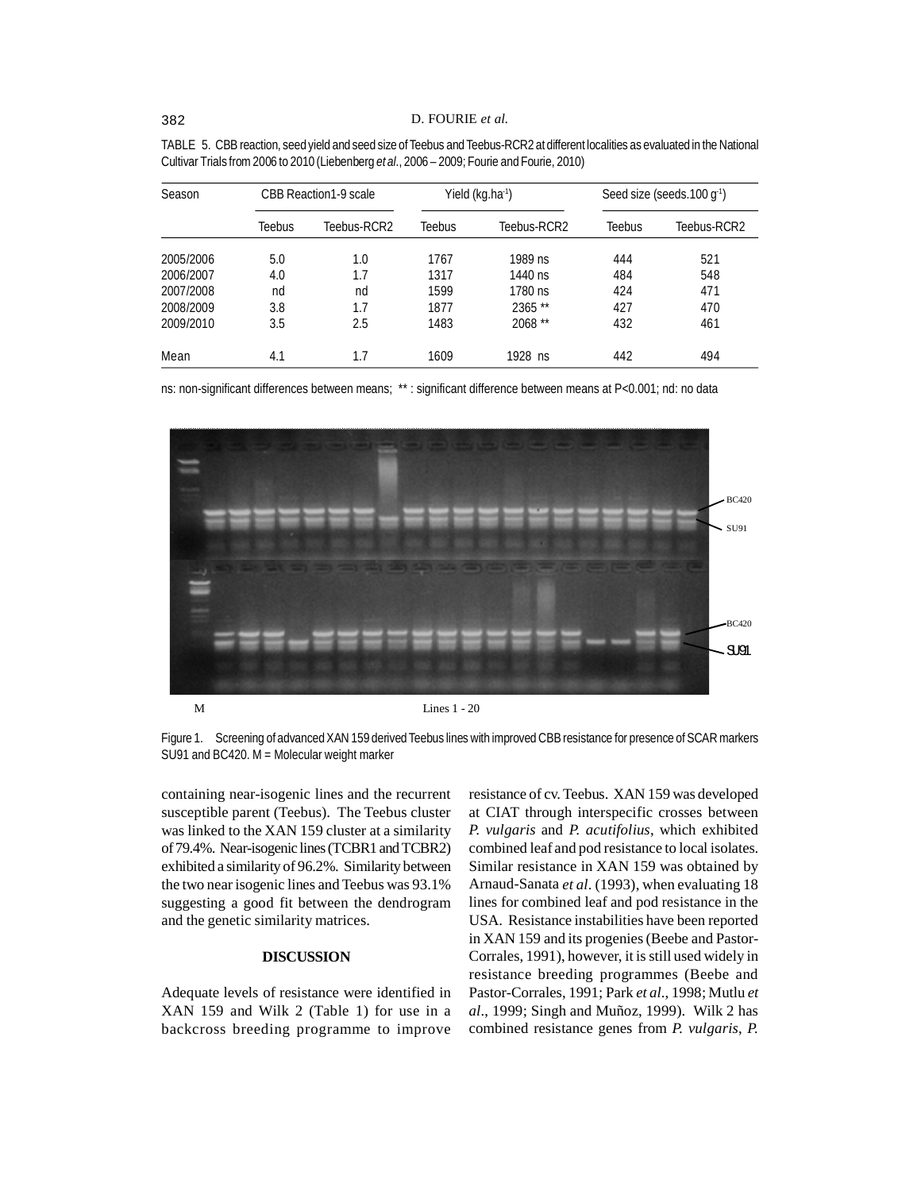| Season    | CBB Reaction1-9 scale |             | Yield (kg.ha <sup>-1</sup> ) |             | Seed size (seeds.100 g <sup>-1</sup> ) |             |
|-----------|-----------------------|-------------|------------------------------|-------------|----------------------------------------|-------------|
|           | Teebus                | Teebus-RCR2 | Teebus                       | Teebus-RCR2 | <b>Teebus</b>                          | Teebus-RCR2 |
| 2005/2006 | 5.0                   | 1.0         | 1767                         | 1989 ns     | 444                                    | 521         |
| 2006/2007 | 4.0                   | 1.7         | 1317                         | 1440 ns     | 484                                    | 548         |
| 2007/2008 | nd                    | nd          | 1599                         | 1780 ns     | 424                                    | 471         |
| 2008/2009 | 3.8                   | 1.7         | 1877                         | 2365 **     | 427                                    | 470         |
| 2009/2010 | 3.5                   | 2.5         | 1483                         | 2068 **     | 432                                    | 461         |
| Mean      | 4.1                   | 1.7         | 1609                         | 1928 ns     | 442                                    | 494         |

TABLE 5. CBB reaction, seed yield and seed size of Teebus and Teebus-RCR2 at different localities as evaluated in the National Cultivar Trials from 2006 to 2010 (Liebenberg *et al*., 2006 – 2009; Fourie and Fourie, 2010)

ns: non-significant differences between means; \*\* : significant difference between means at P<0.001; nd: no data



Figure 1. Screening of advanced XAN 159 derived Teebus lines with improved CBB resistance for presence of SCAR markers SU91 and BC420. M = Molecular weight marker

containing near-isogenic lines and the recurrent susceptible parent (Teebus). The Teebus cluster was linked to the XAN 159 cluster at a similarity of 79.4%. Near-isogenic lines (TCBR1 and TCBR2) exhibited a similarity of 96.2%. Similarity between the two near isogenic lines and Teebus was 93.1% suggesting a good fit between the dendrogram and the genetic similarity matrices.

#### **DISCUSSION**

Adequate levels of resistance were identified in XAN 159 and Wilk 2 (Table 1) for use in a backcross breeding programme to improve resistance of cv. Teebus.XAN 159 was developed at CIAT through interspecific crosses between *P. vulgaris* and *P. acutifolius*, which exhibited combined leaf and pod resistance to local isolates. Similar resistance in XAN 159 was obtained by Arnaud-Sanata *et al*. (1993), when evaluating 18 lines for combined leaf and pod resistance in the USA. Resistance instabilities have been reported in XAN 159 and its progenies (Beebe and Pastor-Corrales, 1991), however, it is still used widely in resistance breeding programmes (Beebe and Pastor-Corrales, 1991; Park *et al*., 1998; Mutlu *et al*., 1999; Singh and Muñoz, 1999). Wilk 2 has combined resistance genes from *P. vulgaris*, *P.*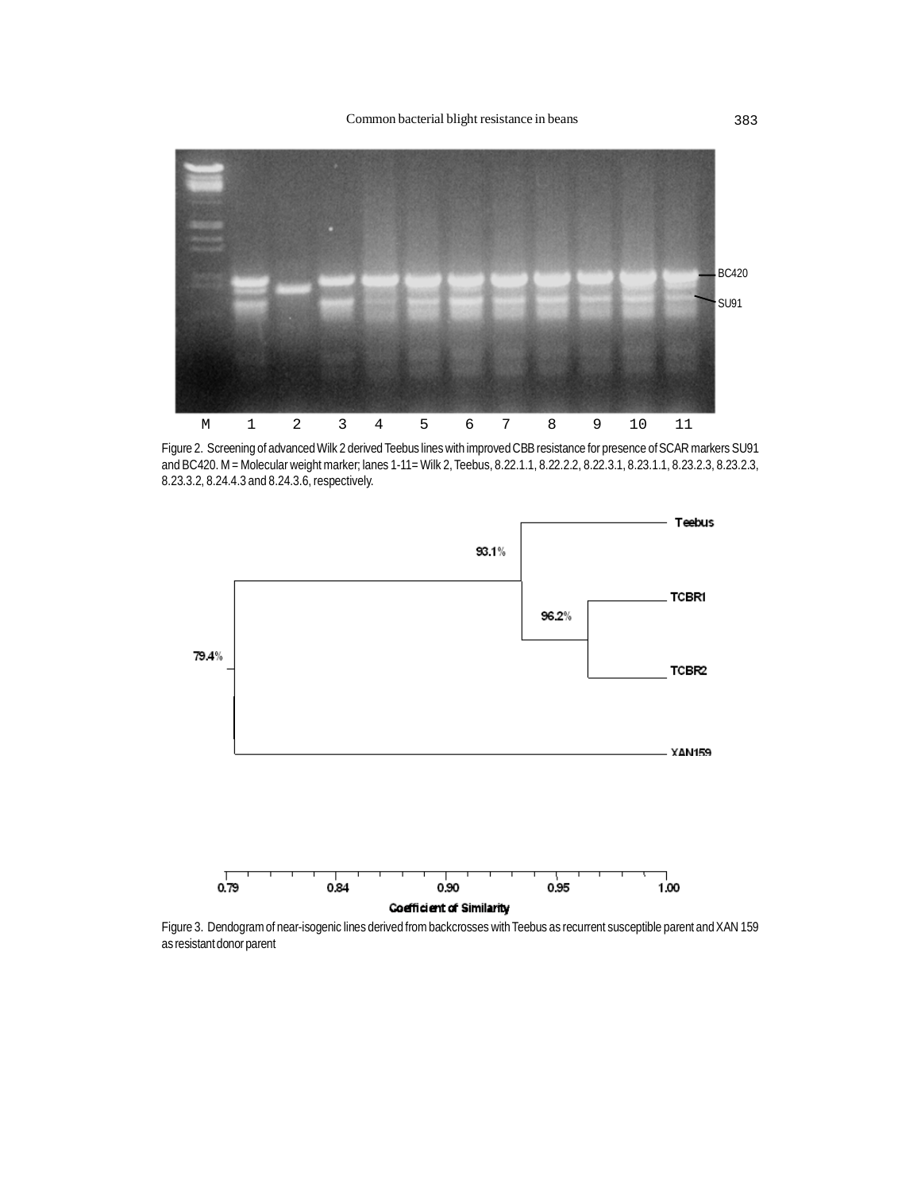

Figure 2. Screening of advanced Wilk 2 derived Teebus lines with improved CBB resistance for presence of SCAR markers SU91 and BC420. M = Molecular weight marker; lanes 1-11= Wilk 2, Teebus, 8.22.1.1, 8.22.2.2, 8.22.3.1, 8.23.1.1, 8.23.2.3, 8.23.2.3, 8.23.3.2, 8.24.4.3 and 8.24.3.6, respectively.



Figure 3. Dendogram of near-isogenic lines derived from backcrosses with Teebus as recurrent susceptible parent and XAN 159 as resistant donor parent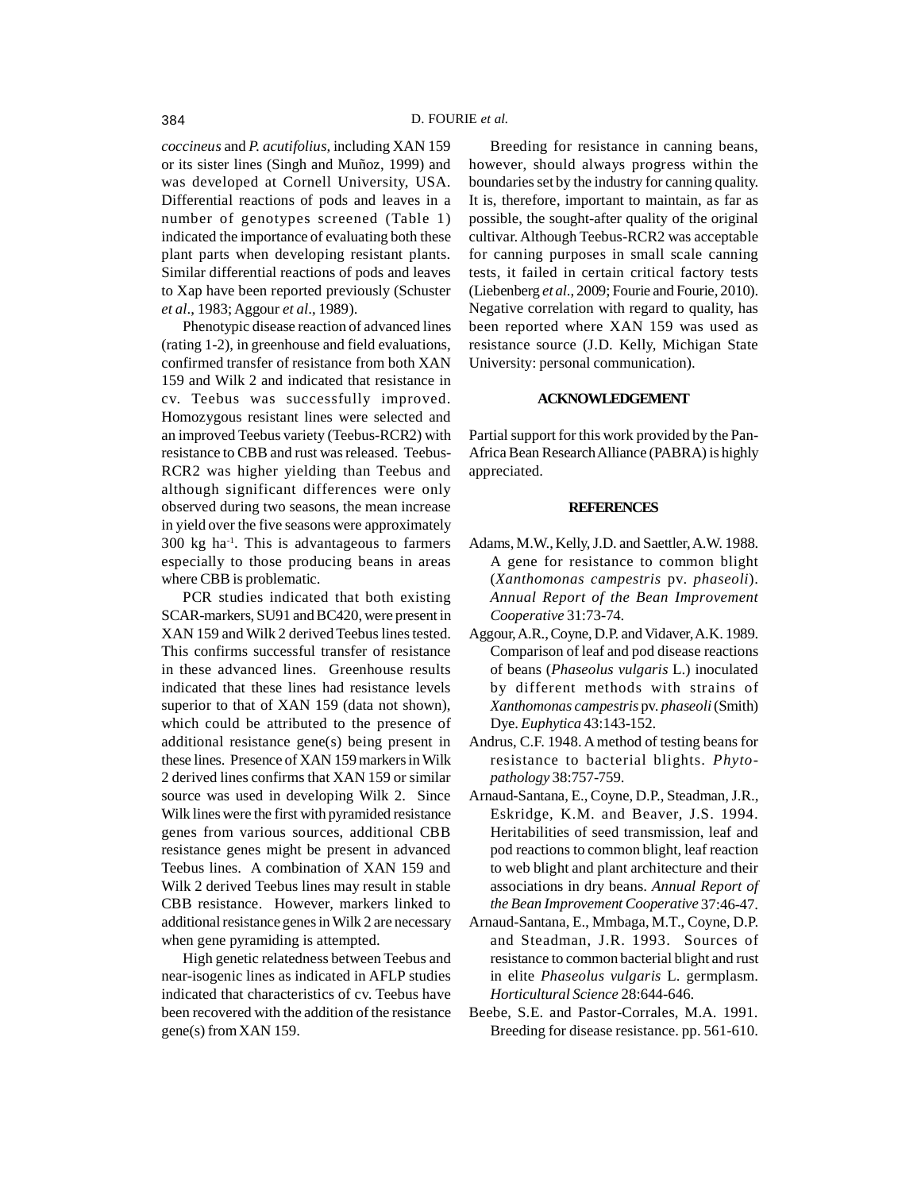*coccineus* and *P. acutifolius,* including XAN 159 or its sister lines (Singh and Muñoz, 1999) and was developed at Cornell University, USA. Differential reactions of pods and leaves in a number of genotypes screened (Table 1) indicated the importance of evaluating both these plant parts when developing resistant plants. Similar differential reactions of pods and leaves to Xap have been reported previously (Schuster *et al*., 1983; Aggour *et al*., 1989).

Phenotypic disease reaction of advanced lines (rating 1-2), in greenhouse and field evaluations, confirmed transfer of resistance from both XAN 159 and Wilk 2 and indicated that resistance in cv. Teebus was successfully improved. Homozygous resistant lines were selected and an improved Teebus variety (Teebus-RCR2) with resistance to CBB and rust was released. Teebus-RCR2 was higher yielding than Teebus and although significant differences were only observed during two seasons, the mean increase in yield over the five seasons were approximately 300 kg ha-1. This is advantageous to farmers especially to those producing beans in areas where CBB is problematic.

PCR studies indicated that both existing SCAR-markers, SU91 and BC420, were present in XAN 159 and Wilk 2 derived Teebus lines tested. This confirms successful transfer of resistance in these advanced lines. Greenhouse results indicated that these lines had resistance levels superior to that of XAN 159 (data not shown), which could be attributed to the presence of additional resistance gene(s) being present in these lines. Presence of XAN 159 markers in Wilk 2 derived lines confirms that XAN 159 or similar source was used in developing Wilk 2. Since Wilk lines were the first with pyramided resistance genes from various sources, additional CBB resistance genes might be present in advanced Teebus lines. A combination of XAN 159 and Wilk 2 derived Teebus lines may result in stable CBB resistance. However, markers linked to additional resistance genes in Wilk 2 are necessary when gene pyramiding is attempted.

High genetic relatedness between Teebus and near-isogenic lines as indicated in AFLP studies indicated that characteristics of cv. Teebus have been recovered with the addition of the resistance gene(s) from XAN 159.

Breeding for resistance in canning beans, however, should always progress within the boundaries set by the industry for canning quality. It is, therefore, important to maintain, as far as possible, the sought-after quality of the original cultivar. Although Teebus-RCR2 was acceptable for canning purposes in small scale canning tests, it failed in certain critical factory tests (Liebenberg *et al*., 2009; Fourie and Fourie, 2010). Negative correlation with regard to quality, has been reported where XAN 159 was used as resistance source (J.D. Kelly, Michigan State University: personal communication).

#### **ACKNOWLEDGEMENT**

Partial support for this work provided by the Pan-Africa Bean Research Alliance (PABRA) is highly appreciated.

#### **REFERENCES**

- Adams, M.W., Kelly, J.D. and Saettler, A.W. 1988. A gene for resistance to common blight (*Xanthomonas campestris* pv. *phaseoli*). *Annual Report of the Bean Improvement Cooperative* 31:73-74.
- Aggour, A.R., Coyne, D.P. and Vidaver, A.K. 1989. Comparison of leaf and pod disease reactions of beans (*Phaseolus vulgaris* L.) inoculated by different methods with strains of *Xanthomonas campestris* pv. *phaseoli* (Smith) Dye. *Euphytica* 43:143-152.
- Andrus, C.F. 1948. A method of testing beans for resistance to bacterial blights. *Phytopathology* 38:757-759.
- Arnaud-Santana, E., Coyne, D.P., Steadman, J.R., Eskridge, K.M. and Beaver, J.S. 1994. Heritabilities of seed transmission, leaf and pod reactions to common blight, leaf reaction to web blight and plant architecture and their associations in dry beans. *Annual Report of the Bean Improvement Cooperative* 37:46-47.
- Arnaud-Santana, E., Mmbaga, M.T., Coyne, D.P. and Steadman, J.R. 1993. Sources of resistance to common bacterial blight and rust in elite *Phaseolus vulgaris* L. germplasm. *Horticultural Science* 28:644-646.
- Beebe, S.E. and Pastor-Corrales, M.A. 1991. Breeding for disease resistance. pp. 561-610.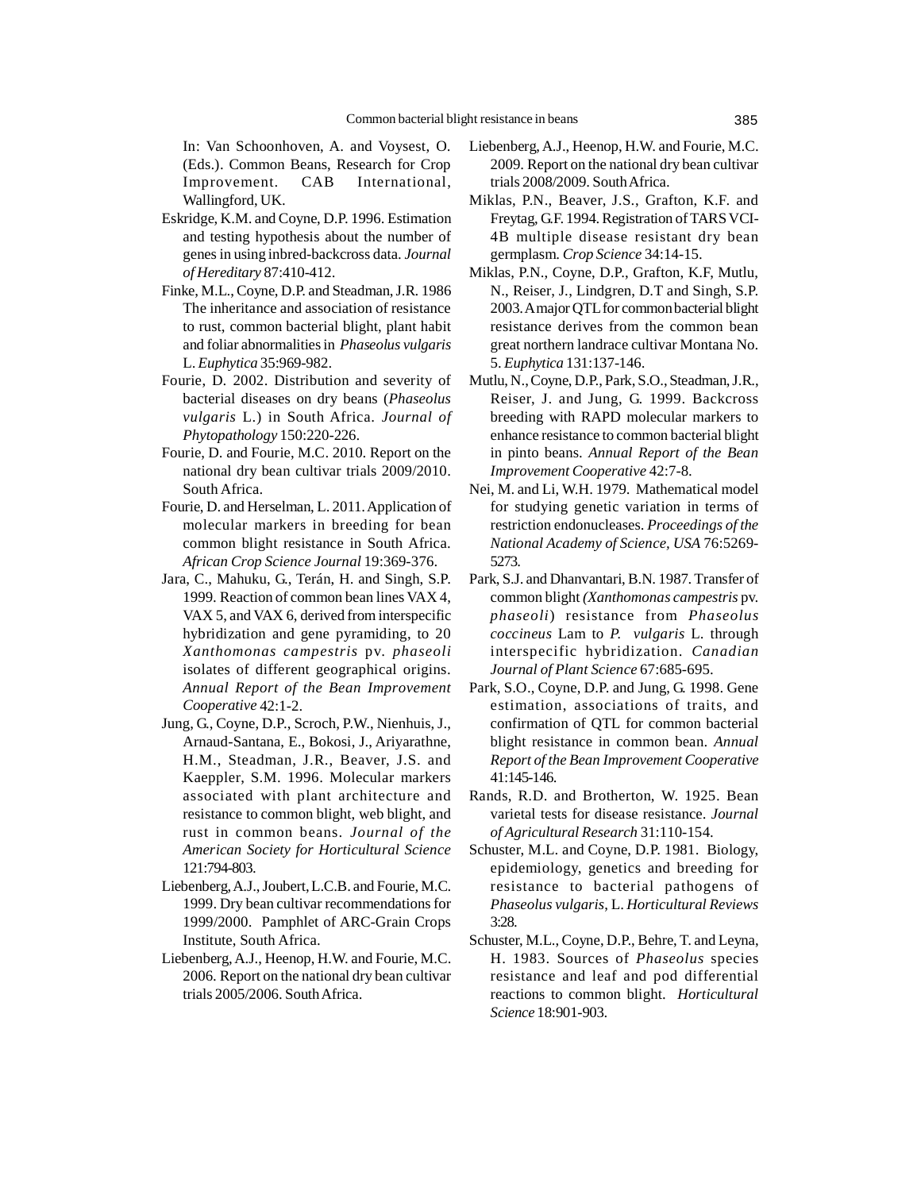In: Van Schoonhoven, A. and Voysest, O. (Eds.). Common Beans, Research for Crop Improvement. CAB International, Wallingford, UK.

- Eskridge, K.M. and Coyne, D.P. 1996. Estimation and testing hypothesis about the number of genes in using inbred-backcross data. *Journal of Hereditary* 87:410-412.
- Finke, M.L., Coyne, D.P. and Steadman, J.R. 1986 The inheritance and association of resistance to rust, common bacterial blight, plant habit and foliar abnormalities in *Phaseolus vulgaris* L. *Euphytica* 35:969-982.
- Fourie, D. 2002. Distribution and severity of bacterial diseases on dry beans (*Phaseolus vulgaris* L.) in South Africa. *Journal of Phytopathology* 150:220-226.
- Fourie, D. and Fourie, M.C. 2010. Report on the national dry bean cultivar trials 2009/2010. South Africa.
- Fourie, D. and Herselman, L. 2011. Application of molecular markers in breeding for bean common blight resistance in South Africa. *African Crop Science Journal* 19:369-376.
- Jara, C., Mahuku, G., Terán, H. and Singh, S.P. 1999. Reaction of common bean lines VAX 4, VAX 5, and VAX 6, derived from interspecific hybridization and gene pyramiding, to 20 *Xanthomonas campestris* pv. *phaseoli* isolates of different geographical origins. *Annual Report of the Bean Improvement Cooperative* 42:1-2.
- Jung, G., Coyne, D.P., Scroch, P.W., Nienhuis, J., Arnaud-Santana, E., Bokosi, J., Ariyarathne, H.M., Steadman, J.R., Beaver, J.S. and Kaeppler, S.M. 1996. Molecular markers associated with plant architecture and resistance to common blight, web blight, and rust in common beans. *Journal of the American Society for Horticultural Science* 121:794-803.
- Liebenberg, A.J., Joubert, L.C.B. and Fourie, M.C. 1999. Dry bean cultivar recommendations for 1999/2000. Pamphlet of ARC-Grain Crops Institute, South Africa.
- Liebenberg, A.J., Heenop, H.W. and Fourie, M.C. 2006. Report on the national dry bean cultivar trials 2005/2006. South Africa.
- Liebenberg, A.J., Heenop, H.W. and Fourie, M.C. 2009. Report on the national dry bean cultivar trials 2008/2009. South Africa.
- Miklas, P.N., Beaver, J.S., Grafton, K.F. and Freytag, G.F. 1994. Registration of TARS VCI-4B multiple disease resistant dry bean germplasm. *Crop Science* 34:14-15.
- Miklas, P.N., Coyne, D.P., Grafton, K.F, Mutlu, N., Reiser, J., Lindgren, D.T and Singh, S.P. 2003. A major QTL for common bacterial blight resistance derives from the common bean great northern landrace cultivar Montana No. 5. *Euphytica* 131:137-146.
- Mutlu, N., Coyne, D.P., Park, S.O., Steadman, J.R., Reiser, J. and Jung, G. 1999. Backcross breeding with RAPD molecular markers to enhance resistance to common bacterial blight in pinto beans. *Annual Report of the Bean Improvement Cooperative* 42:7-8.
- Nei, M. and Li, W.H. 1979. Mathematical model for studying genetic variation in terms of restriction endonucleases. *Proceedings of the National Academy of Science, USA* 76:5269- 5273.
- Park, S.J. and Dhanvantari, B.N. 1987. Transfer of common blight *(Xanthomonas campestris* pv. *phaseoli*) resistance from *Phaseolus coccineus* Lam to *P. vulgaris* L. through interspecific hybridization. *Canadian Journal of Plant Science* 67:685-695.
- Park, S.O., Coyne, D.P. and Jung, G. 1998. Gene estimation, associations of traits, and confirmation of QTL for common bacterial blight resistance in common bean. *Annual Report of the Bean Improvement Cooperative* 41:145-146.
- Rands, R.D. and Brotherton, W. 1925. Bean varietal tests for disease resistance. *Journal of Agricultural Research* 31:110-154.
- Schuster, M.L. and Coyne, D.P. 1981. Biology, epidemiology, genetics and breeding for resistance to bacterial pathogens of *Phaseolus vulgaris*, L. *Horticultural Reviews* 3:28.
- Schuster, M.L., Coyne, D.P., Behre, T. and Leyna, H. 1983. Sources of *Phaseolus* species resistance and leaf and pod differential reactions to common blight. *Horticultural Science* 18:901-903.